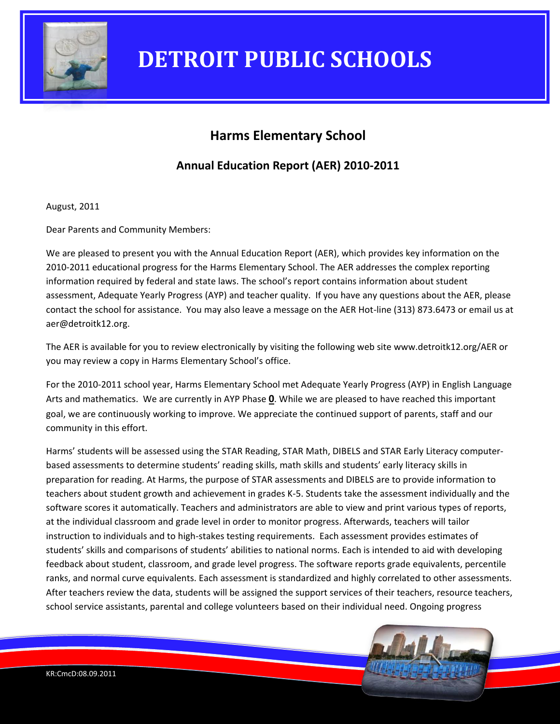

### **Harms Elementary School**

### **Annual Education Report (AER) 2010-2011**

August, 2011

Dear Parents and Community Members:

We are pleased to present you with the Annual Education Report (AER), which provides key information on the 2010-2011 educational progress for the Harms Elementary School. The AER addresses the complex reporting information required by federal and state laws. The school's report contains information about student assessment, Adequate Yearly Progress (AYP) and teacher quality. If you have any questions about the AER, please contact the school for assistance. You may also leave a message on the AER Hot-line (313) 873.6473 or email us at aer@detroitk12.org.

The AER is available for you to review electronically by visiting the following web site www.detroitk12.org/AER or you may review a copy in Harms Elementary School's office.

For the 2010-2011 school year, Harms Elementary School met Adequate Yearly Progress (AYP) in English Language Arts and mathematics. We are currently in AYP Phase **0**. While we are pleased to have reached this important goal, we are continuously working to improve. We appreciate the continued support of parents, staff and our community in this effort.

Harms' students will be assessed using the STAR Reading, STAR Math, DIBELS and STAR Early Literacy computerbased assessments to determine students' reading skills, math skills and students' early literacy skills in preparation for reading. At Harms, the purpose of STAR assessments and DIBELS are to provide information to teachers about student growth and achievement in grades K-5. Students take the assessment individually and the software scores it automatically. Teachers and administrators are able to view and print various types of reports, at the individual classroom and grade level in order to monitor progress. Afterwards, teachers will tailor instruction to individuals and to high-stakes testing requirements. Each assessment provides estimates of students' skills and comparisons of students' abilities to national norms. Each is intended to aid with developing feedback about student, classroom, and grade level progress. The software reports grade equivalents, percentile ranks, and normal curve equivalents. Each assessment is standardized and highly correlated to other assessments. After teachers review the data, students will be assigned the support services of their teachers, resource teachers, school service assistants, parental and college volunteers based on their individual need. Ongoing progress

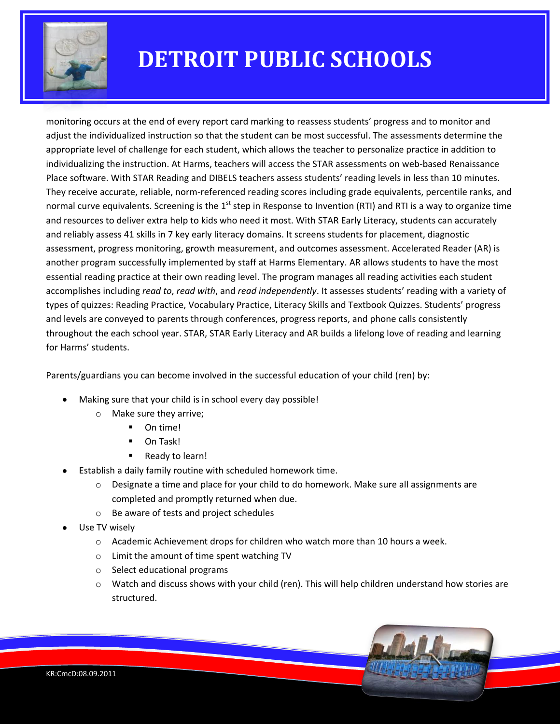

monitoring occurs at the end of every report card marking to reassess students' progress and to monitor and adjust the individualized instruction so that the student can be most successful. The assessments determine the appropriate level of challenge for each student, which allows the teacher to personalize practice in addition to individualizing the instruction. At Harms, teachers will access the STAR assessments on web-based Renaissance Place software. With STAR Reading and DIBELS teachers assess students' reading levels in less than 10 minutes. They receive accurate, reliable, norm-referenced reading scores including grade equivalents, percentile ranks, and normal curve equivalents. Screening is the  $1<sup>st</sup>$  step in Response to Invention (RTI) and RTI is a way to organize time and resources to deliver extra help to kids who need it most. With STAR Early Literacy, students can accurately and reliably assess 41 skills in 7 key early literacy domains. It screens students for placement, diagnostic assessment, progress monitoring, growth measurement, and outcomes assessment. Accelerated Reader (AR) is another program successfully implemented by staff at Harms Elementary. AR allows students to have the most essential reading practice at their own reading level. The program manages all reading activities each student accomplishes including *read to*, *read with*, and *read independently*. It assesses students' reading with a variety of types of quizzes: Reading Practice, Vocabulary Practice, Literacy Skills and Textbook Quizzes. Students' progress and levels are conveyed to parents through conferences, progress reports, and phone calls consistently throughout the each school year. STAR, STAR Early Literacy and AR builds a lifelong love of reading and learning for Harms' students.

Parents/guardians you can become involved in the successful education of your child (ren) by:

- Making sure that your child is in school every day possible!
	- o Make sure they arrive;
		- On time!
		- **D** On Task!
		- Ready to learn!
- Establish a daily family routine with scheduled homework time.
	- $\circ$  Designate a time and place for your child to do homework. Make sure all assignments are completed and promptly returned when due.
	- o Be aware of tests and project schedules
- Use TV wisely
	- $\circ$  Academic Achievement drops for children who watch more than 10 hours a week.
	- o Limit the amount of time spent watching TV
	- o Select educational programs
	- $\circ$  Watch and discuss shows with your child (ren). This will help children understand how stories are structured.

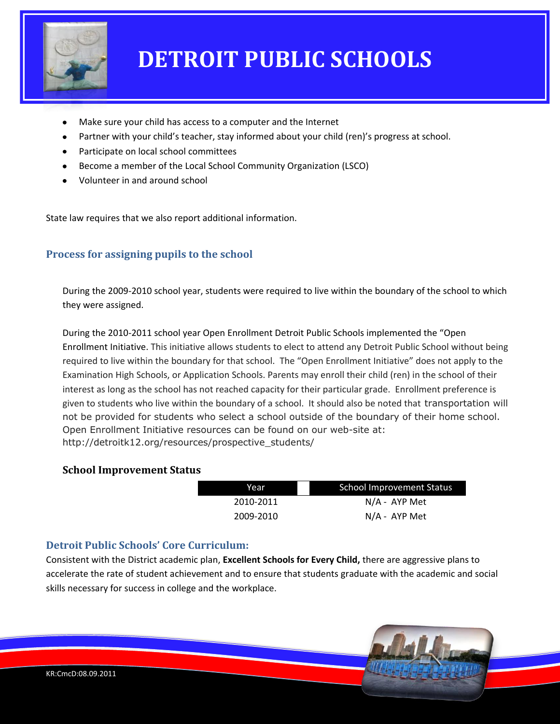

- Make sure your child has access to a computer and the Internet
- Partner with your child's teacher, stay informed about your child (ren)'s progress at school.
- Participate on local school committees
- Become a member of the Local School Community Organization (LSCO)
- Volunteer in and around school

State law requires that we also report additional information.

### **Process for assigning pupils to the school**

During the 2009-2010 school year, students were required to live within the boundary of the school to which they were assigned.

During the 2010-2011 school year Open Enrollment Detroit Public Schools implemented the "Open Enrollment Initiative. This initiative allows students to elect to attend any Detroit Public School without being required to live within the boundary for that school. The "Open Enrollment Initiative" does not apply to the Examination High Schools, or Application Schools. Parents may enroll their child (ren) in the school of their interest as long as the school has not reached capacity for their particular grade. Enrollment preference is given to students who live within the boundary of a school. It should also be noted that transportation will not be provided for students who select a school outside of the boundary of their home school. Open Enrollment Initiative resources can be found on our web-site at: http://detroitk12.org/resources/prospective\_students/

#### **School Improvement Status**

| Year      | School Improvement Status |
|-----------|---------------------------|
| 2010-2011 | N/A - AYP Met             |
| 2009-2010 | $N/A$ - AYP Met           |

#### **Detroit Public Schools' Core Curriculum:**

Consistent with the District academic plan, **Excellent Schools for Every Child,** there are aggressive plans to accelerate the rate of student achievement and to ensure that students graduate with the academic and social skills necessary for success in college and the workplace.

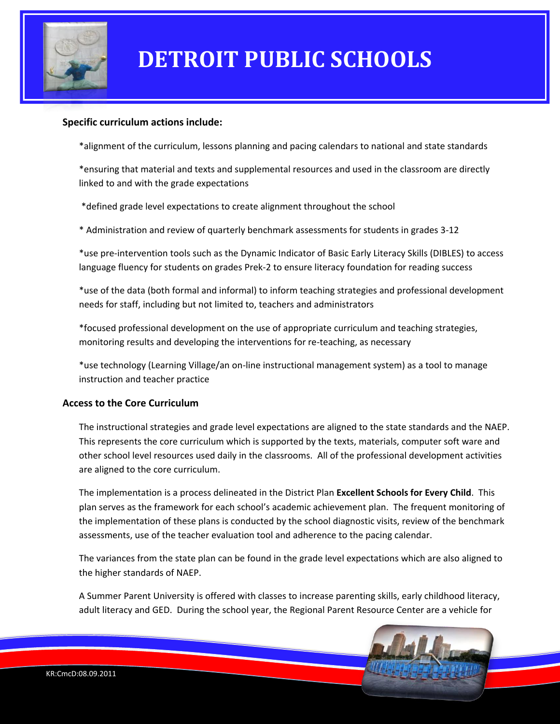

#### **Specific curriculum actions include:**

\*alignment of the curriculum, lessons planning and pacing calendars to national and state standards

\*ensuring that material and texts and supplemental resources and used in the classroom are directly linked to and with the grade expectations

\*defined grade level expectations to create alignment throughout the school

\* Administration and review of quarterly benchmark assessments for students in grades 3-12

\*use pre-intervention tools such as the Dynamic Indicator of Basic Early Literacy Skills (DIBLES) to access language fluency for students on grades Prek-2 to ensure literacy foundation for reading success

\*use of the data (both formal and informal) to inform teaching strategies and professional development needs for staff, including but not limited to, teachers and administrators

\*focused professional development on the use of appropriate curriculum and teaching strategies, monitoring results and developing the interventions for re-teaching, as necessary

\*use technology (Learning Village/an on-line instructional management system) as a tool to manage instruction and teacher practice

#### **Access to the Core Curriculum**

The instructional strategies and grade level expectations are aligned to the state standards and the NAEP. This represents the core curriculum which is supported by the texts, materials, computer soft ware and other school level resources used daily in the classrooms. All of the professional development activities are aligned to the core curriculum.

The implementation is a process delineated in the District Plan **Excellent Schools for Every Child**. This plan serves as the framework for each school's academic achievement plan. The frequent monitoring of the implementation of these plans is conducted by the school diagnostic visits, review of the benchmark assessments, use of the teacher evaluation tool and adherence to the pacing calendar.

The variances from the state plan can be found in the grade level expectations which are also aligned to the higher standards of NAEP.

A Summer Parent University is offered with classes to increase parenting skills, early childhood literacy, adult literacy and GED. During the school year, the Regional Parent Resource Center are a vehicle for

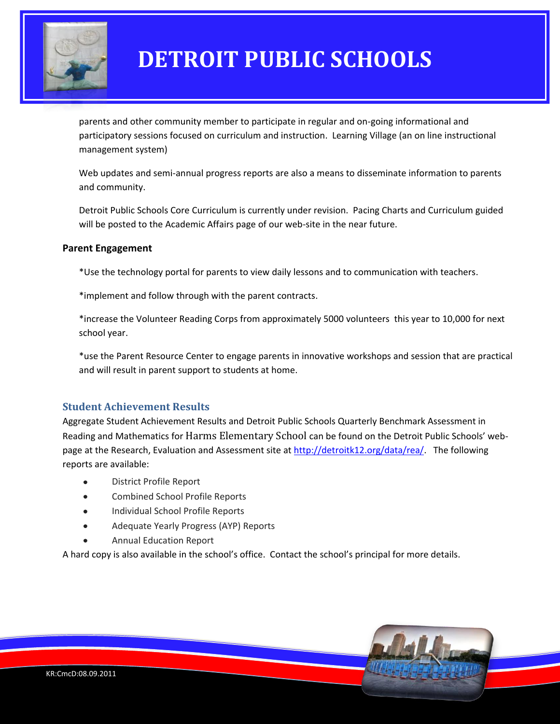

parents and other community member to participate in regular and on-going informational and participatory sessions focused on curriculum and instruction. Learning Village (an on line instructional management system)

Web updates and semi-annual progress reports are also a means to disseminate information to parents and community.

Detroit Public Schools Core Curriculum is currently under revision. Pacing Charts and Curriculum guided will be posted to the Academic Affairs page of our web-site in the near future.

#### **Parent Engagement**

\*Use the technology portal for parents to view daily lessons and to communication with teachers.

\*implement and follow through with the parent contracts.

\*increase the Volunteer Reading Corps from approximately 5000 volunteers this year to 10,000 for next school year.

\*use the Parent Resource Center to engage parents in innovative workshops and session that are practical and will result in parent support to students at home.

### **Student Achievement Results**

Aggregate Student Achievement Results and Detroit Public Schools Quarterly Benchmark Assessment in Reading and Mathematics for Harms Elementary School can be found on the Detroit Public Schools' webpage at the Research, Evaluation and Assessment site at [http://detroitk12.org/data/rea/.](http://detroitk12.org/data/rea/) The following reports are available:

- District Profile Report Ä
- Combined School Profile Reports
- Individual School Profile Reports
- Adequate Yearly Progress (AYP) Reports
- Annual Education Report

A hard copy is also available in the school's office. Contact the school's principal for more details.